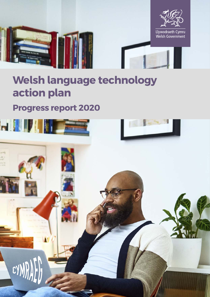

# **Welsh language technology action plan**

# **Progress report 2020**

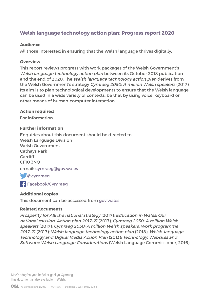#### **Welsh language technology action plan: Progress report 2020**

#### **Audience**

All those interested in ensuring that the Welsh language thrives digitally.

#### **Overview**

This report reviews progress with work packages of the Welsh Government's Welsh language technology action plan between its October 2018 publication and the end of 2020. The Welsh language technology action plan derives from the Welsh Government's strategy Cymraeg 2050: A million Welsh speakers (2017). Its aim is to plan technological developments to ensure that the Welsh language can be used in a wide variety of contexts, be that by using voice, keyboard or other means of human-computer interaction.

#### **Action required**

For information.

#### **Further information**

Enquiries about this document should be directed to: Welsh Language Division Welsh Government Cathays Park Cardiff CF10 3NQ e-mail: cymraeg@gov.wales **C** [@c](https://twitter.com/Cymraeg)ymraeg F[acebook/C](https://www.facebook.com/Cymraeg)ymraeg

#### **Additional copies**

This document can be accessed from [gov.wales](http://gov.wales)

#### **Related documents**

Prosperity for All: the national strategy (2017); Education in Wales: Our national mission, Action plan 2017–21 (2017); Cymraeg 2050: A million Welsh speakers (2017); Cymraeg 2050: A million Welsh speakers, Work programme 2017–21 (2017); Welsh language technology action plan (2018); Welsh-language Technology and Digital Media Action Plan (2013); Technology, Websites and Software: Welsh Language Considerations (Welsh Language Commissioner, 2016)

Mae'r ddogfen yma hefyd ar gael yn Gymraeg. This document is also available in Welsh.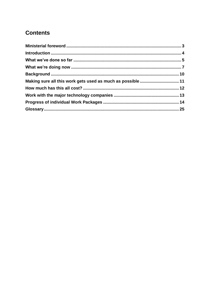## **Contents**

| Making sure all this work gets used as much as possible  11 |  |
|-------------------------------------------------------------|--|
|                                                             |  |
|                                                             |  |
|                                                             |  |
|                                                             |  |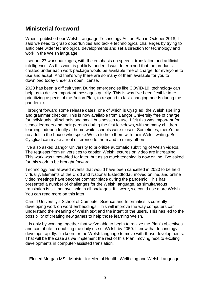## <span id="page-3-0"></span>**Ministerial foreword**

When I published our Welsh Language Technology Action Plan in October 2018, I said we need to grasp opportunities and tackle technological challenges by trying to anticipate wider technological developments and set a direction for technology and work in the Welsh language.

I set out 27 work packages, with the emphasis on speech, translation and artificial intelligence. As this work is publicly funded, I was determined that the products created under each work package would be available free of charge, for everyone to use and adapt. And that's why there are so many of them available for you to download today under an open license.

2020 has been a difficult year. During emergencies like COVID-19, technology can help us to deliver important messages quickly. This is why I've been flexible in reprioritizing aspects of the Action Plan, to respond to fast-changing needs during the pandemic.

I brought forward some release dates, one of which is Cysgliad, the Welsh spelling and grammar checker. This is now available from Bangor University free of charge for individuals, all schools and small businesses to use. I felt this was important for school learners and their parents during the first lockdown, with so many children learning independently at home while schools were closed. Sometimes, there'd be no adult in the house who spoke Welsh to help them with their Welsh writing. So Cysgliad can make a real difference to them and to many others.

I've also asked Bangor University to prioritize automatic subtitling of Welsh videos. The requests from universities to caption Welsh lectures on video are increasing. This work was timetabled for later, but as so much teaching is now online, I've asked for this work to be brought forward.

Technology has allowed events that would have been cancelled in 2020 to be held virtually. Elements of the Urdd and National Eisteddfodau moved online, and online video meetings have become commonplace during the pandemic. This has presented a number of challenges for the Welsh language, as simultaneous translation is still not available in all packages. If it were, we could use more Welsh. You can read more on this later.

Cardiff University's School of Computer Science and Informatics is currently developing work on word embeddings. This will improve the way computers can understand the meaning of Welsh text and the intent of the users. This has led to the possibility of creating new games to help those learning Welsh.

It is only by working together that we've able to begin to realize the Plan's objectives and contribute to doubling the daily use of Welsh by 2050. I know that technology develops rapidly. I'm keen for the Welsh language to move with those developments. That will be the case as we implement the rest of this Plan, moving next to exciting developments in computer-assisted translation.

- Eluned Morgan MS - Minister for Mental Health, Wellbeing and Welsh Language.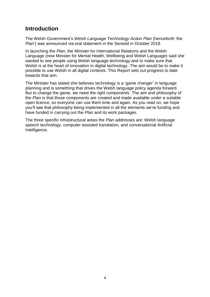### <span id="page-4-0"></span>**Introduction**

The Welsh Government's *Welsh Language Technology Action Plan* (henceforth 'the *Plan*') was announced via oral statement in the Senedd in October 2018.

In launching the *Plan*, the Minister for International Relations and the Welsh Language (now Minister for Mental Health, Wellbeing and Welsh Language) said she wanted to see people using Welsh language technology and to make sure that Welsh is at the heart of innovation in digital technology. The aim would be to make it possible to use Welsh in all digital contexts. This Report sets out progress to date towards that aim.

The Minister has stated she believes technology is a 'game changer' in language planning and is something that drives the Welsh language policy agenda forward. But to change the game, we need the right components. The aim and philosophy of the *Plan* is that those components are created and made available under a suitable open licence, so everyone can use them time and again. As you read on, we hope you'll see that philosophy being implemented in all the elements we're funding and have funded in carrying out the *Plan* and its work packages.

The three specific infrastructural areas the *Plan* addresses are: Welsh language speech technology, computer-assisted translation, and conversational Artificial Intelligence.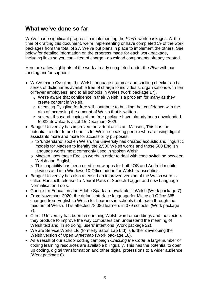### <span id="page-5-0"></span>**What we've done so far**

We've made significant progress in implementing the *Plan*'s work packages. At the time of drafting this document, we're implementing or have completed 19 of the work packages from the total of 27. We've put plans in place to implement the others. See below for detailed information on the progress made for each work package, including links so you can - free of charge - download components already created.

Here are a few highlights of the work already completed under the *Plan* with our funding and/or support:

- We've made Cysgliad, the Welsh language grammar and spelling checker and a series of dictionaries available free of charge to individuals, organisations with ten or fewer employees, and to all schools in Wales (work package 17).
	- $\circ$  We're aware that confidence in their Welsh is a problem for many as they create content in Welsh.
	- o releasing Cysgliad for free will contribute to building that confidence with the aim of increasing the amount of Welsh that is written.
	- $\circ$  several thousand copies of the free package have already been downloaded. 5,032 downloads as of 15 December 2020.
- Bangor University has improved the virtual assistant Macsen, This has the potential to offer future benefits for Welsh-speaking people who are using digital assistants more and more for accessibility purposes.
	- $\circ$  to 'understand' spoken Welsh, the university has created acoustic and linguistic models for Macsen to identify the 2,500 Welsh words and those 500 English language words most commonly used in spoken Welsh
	- o Macsen uses these English words in order to deal with code switching between Welsh and English.
	- o This capability has been used in new apps for both iOS and Android mobile devices and in a Windows 10 Office add-in for Welsh transcription.
- Bangor University has also released an improved version of the Welsh wordlist called Hunspell, released a Neural Parts of Speech Tagger and new Language Normalisation Tools.
- Google for Education and Adobe Spark are available in Welsh (Work package 7).
- From November 2020, the default interface language for Microsoft Office 365 changed from English to Welsh for Learners in schools that teach through the medium of Welsh. This affected 78,086 learners in 379 schools. (Work package 7).
- Cardiff University has been researching Welsh word embeddings and the vectors they produce to improve the way computers can understand the meaning of Welsh text and, in so doing, users' intentions (Work package 22).
- We are Service Works Ltd (formerly Satori Lab Ltd) is further developing the Welsh version of Open Streetmap (Work package 18).
- As a result of our school coding campaign *Cracking the Code*, a large number of coding learning resources are available bilingually. This has the potential to open up coding, digital transformation and other digital professions to a wider audience (Work package 8).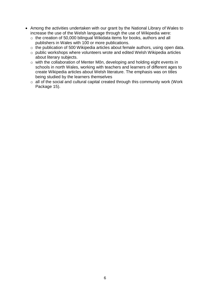- Among the activities undertaken with our grant by the National Library of Wales to increase the use of the Welsh language through the use of Wikipedia were:
	- o the creation of 50,000 bilingual Wikidata items for books, authors and all publishers in Wales with 100 or more publications.
	- o the publication of 500 Wikipedia articles about female authors, using open data.
	- o public workshops where volunteers wrote and edited Welsh Wikipedia articles about literary subjects.
	- o with the collaboration of Menter Môn, developing and holding eight events in schools in north Wales, working with teachers and learners of different ages to create Wikipedia articles about Welsh literature. The emphasis was on titles being studied by the learners themselves
	- $\circ$  all of the social and cultural capital created through this community work (Work Package 15).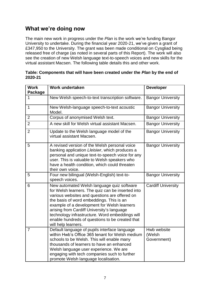## <span id="page-7-0"></span>**What we're doing now**

The main new work in progress under the *Plan* is the work we're funding Bangor University to undertake. During the financial year 2020-21, we've given a grant of £347,950 to the University. The grant was been made conditional on Cysgliad being released free of charge (as noted in several parts of this Report). The work will also see the creation of new Welsh language text-to-speech voices and new skills for the virtual assistant Macsen. The following table details this and other work.

| Table: Components that will have been created under the <i>Plan</i> by the end of |  |
|-----------------------------------------------------------------------------------|--|
| 2020-21                                                                           |  |

| <b>Work</b><br>Package | Work undertaken                                                                                                                                                                                                                                                                                                                                                                                                        | <b>Developer</b>                     |
|------------------------|------------------------------------------------------------------------------------------------------------------------------------------------------------------------------------------------------------------------------------------------------------------------------------------------------------------------------------------------------------------------------------------------------------------------|--------------------------------------|
| 1                      | New Welsh speech-to-text transcription software.                                                                                                                                                                                                                                                                                                                                                                       | <b>Bangor University</b>             |
| $\mathbf{1}$           | New Welsh-language speech-to-text acoustic<br>Model.                                                                                                                                                                                                                                                                                                                                                                   | <b>Bangor University</b>             |
| $\overline{2}$         | Corpus of anonymised Welsh text.                                                                                                                                                                                                                                                                                                                                                                                       | <b>Bangor University</b>             |
| $\overline{2}$         | A new skill for Welsh virtual assistant Macsen.                                                                                                                                                                                                                                                                                                                                                                        | <b>Bangor University</b>             |
| $\overline{2}$         | Update to the Welsh language model of the<br>virtual assistant Macsen.                                                                                                                                                                                                                                                                                                                                                 | <b>Bangor University</b>             |
| 5                      | A revised version of the Welsh personal voice<br>banking application Lleisiwr, which produces a<br>personal and unique text-to-speech voice for any<br>user. This is valuable to Welsh speakers who<br>have a health condition, which could threaten<br>their own voice.                                                                                                                                               | <b>Bangor University</b>             |
| 5                      | Four new bilingual (Welsh-English) text-to-<br>speech voices.                                                                                                                                                                                                                                                                                                                                                          | <b>Bangor University</b>             |
| 6                      | New automated Welsh language quiz software<br>for Welsh learners. The quiz can be inserted into<br>various websites and questions are offered on<br>the basis of word embeddings. This is an<br>example of a development for Welsh learners<br>arising from Cardiff University's language<br>technology infrastructure. Word embeddings will<br>enable hundreds of questions to be created that<br>will help learners. | <b>Cardiff University</b>            |
| $\overline{7}$         | Default language of pupils interface language<br>within Hwb's Office 365 tenant for Welsh medium<br>schools to be Welsh. This will enable many<br>thousands of learners to have an enhanced<br>Welsh language user experience. We are<br>engaging with tech companies such to further<br>promote Welsh language localisation.                                                                                          | Hwb website<br>(Welsh<br>Government) |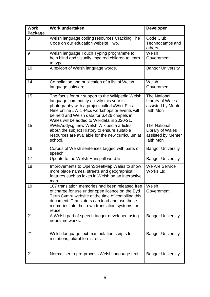| <b>Work</b> | <b>Work undertaken</b>                                                                                                                                                                                                                                                                         | <b>Developer</b>                                                           |
|-------------|------------------------------------------------------------------------------------------------------------------------------------------------------------------------------------------------------------------------------------------------------------------------------------------------|----------------------------------------------------------------------------|
| Package     |                                                                                                                                                                                                                                                                                                |                                                                            |
| 8           | Welsh language coding resources Cracking The<br>Code on our education website Hwb.                                                                                                                                                                                                             | Code Club,<br>Technocamps and<br>others.                                   |
| 9           | Welsh language Touch Typing programme to<br>help blind and visually impaired children to learn<br>to type.                                                                                                                                                                                     | Welsh<br>Government                                                        |
| 10          | A lexicon of Welsh language words.                                                                                                                                                                                                                                                             | <b>Bangor University</b>                                                   |
| 14          | Compilation and publication of a list of Welsh<br>language software.                                                                                                                                                                                                                           | Welsh<br>Government                                                        |
| 15          | The focus for our support to the Wikipedia Welsh<br>language community activity this year is<br>photography with a project called #Wici-Pics.<br>Nine online #Wici-Pics workshops or events will<br>be held and Welsh data for 6,426 chapels in<br>Wales will be added to Wikidata in 2020-21. | <b>The National</b><br>Library of Wales<br>assisted by Menter<br>laith Môn |
| 15          | #WikiAddysg: new Welsh Wikipedia articles<br>about the subject History to ensure suitable<br>resources are available for the new curriculum at<br>school.                                                                                                                                      | <b>The National</b><br>Library of Wales<br>assisted by Menter<br>laith Môn |
| 16          | Corpus of Welsh sentences tagged with parts of<br>speech.                                                                                                                                                                                                                                      | <b>Bangor University</b>                                                   |
| 17          | Update to the Welsh Hunspell word list.                                                                                                                                                                                                                                                        | <b>Bangor University</b>                                                   |
| 18          | Improvements to OpenStreetMap Wales to show<br>more place names, streets and geographical<br>features such as lakes in Welsh on an interactive<br>map.                                                                                                                                         | We Are Service<br>Works Ltd.                                               |
| 19          | 107 translation memories had been released free<br>of charge for use under open licence on the Byd<br>Term Cymru website at the time of compiling this<br>document. Translators can load and use these<br>memories into their own translation systems for<br>reuse.                            | Welsh<br>Government                                                        |
| 21          | A Welsh part of speech tagger developed using<br>neural networks.                                                                                                                                                                                                                              | <b>Bangor University</b>                                                   |
| 21          | Welsh language text manipulation scripts for<br>mutations, plural forms, etc.                                                                                                                                                                                                                  | <b>Bangor University</b>                                                   |
| 21          | Normaliser to pre-process Welsh language text.                                                                                                                                                                                                                                                 | <b>Bangor University</b>                                                   |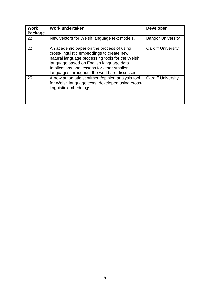| <b>Work</b><br>Package | Work undertaken                                                                                                                                                                                                                                                                      | <b>Developer</b>          |
|------------------------|--------------------------------------------------------------------------------------------------------------------------------------------------------------------------------------------------------------------------------------------------------------------------------------|---------------------------|
| 22                     | New vectors for Welsh language text models.                                                                                                                                                                                                                                          | <b>Bangor University</b>  |
| 22                     | An academic paper on the process of using<br>cross-linguistic embeddings to create new<br>natural language processing tools for the Welsh<br>language based on English language data.<br>Implications and lessons for other smaller<br>languages throughout the world are discussed. | <b>Cardiff University</b> |
| 25                     | A new automatic sentiment/opinion analysis tool<br>for Welsh language texts, developed using cross-<br>linguistic embeddings.                                                                                                                                                        | <b>Cardiff University</b> |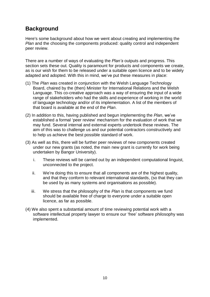## <span id="page-10-0"></span>**Background**

Here's some background about how we went about creating and implementing the *Plan* and the choosing the components produced: quality control and independent peer review.

There are a number of ways of evaluating the *Plan's* outputs and progress. This section sets these out. Quality is paramount for products and components we create, as is our wish for them to be released under a suitable open licence and to be widely adapted and adopted. With this in mind, we've put these measures in place:

- (1) The *Plan* was created in conjunction with the Welsh Language Technology Board, chaired by the (then) Minister for International Relations and the Welsh Language. This co-creative approach was a way of ensuring the input of a wide range of stakeholders who had the skills and experience of working in the world of language technology and/or of its implementation. A list of the members of that board is available at the end of the *Plan*.
- (2) In addition to this, having published and begun implementing the *Plan*, we've established a formal 'peer review' mechanism for the evaluation of work that we may fund. Several internal and external experts undertook these reviews. The aim of this was to challenge us and our potential contractors constructively and to help us achieve the best possible standard of work.
- (3) As well as this, there will be further peer reviews of new components created under our new grants (as noted, the main new grant is currently for work being undertaken by Bangor University).
	- i. These reviews will be carried out by an independent computational linguist, unconnected to the project.
	- ii. We're doing this to ensure that all components are of the highest quality, and that they conform to relevant international standards, (so that they can be used by as many systems and organisations as possible).
	- iii. We stress that the philosophy of the *Plan* is that components we fund should be available free of charge to everyone under a suitable open licence, as far as possible.
- (4) We also spent a substantial amount of time reviewing potential work with a software intellectual property lawyer to ensure our 'free' software philosophy was implemented.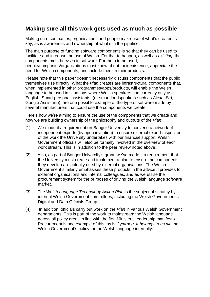### <span id="page-11-0"></span>**Making sure all this work gets used as much as possible**

Making sure companies, organisations and people make use of what's created is key, as is awareness and ownership of what's in the pipeline.

The main purpose of funding software components is so that they can be used to facilitate and increase the use of Welsh. For that to happen, as well as *existing*, the components must be *used* in software. For them to be used,

people/companies/organizations must know about their existence, appreciate the need for Welsh components, and include them in their products.

Please note that this paper doesn't necessarily discuss components that the public themselves use directly. What the *Plan* creates are infrastructural components that, when implemented in other programmes/apps/products, will enable the Welsh language to be used in situations where Welsh speakers can currently only use English. Smart personal assistants, (or smart loudspeakers such as Alexa, Siri, Google Assistant)), are one possible example of the type of software made by several manufacturers that could use the components we create.

Here's how we're aiming to ensure the use of the components that we create and how we are building ownership of the philosophy and outputs of the *Plan*:

- (1) We made it a requirement on Bangor University to convene a network of independent experts (by open invitation) to ensure external expert inspection of the work the University undertakes with our financial support. Welsh Government officials will also be formally involved in the overview of each work stream. This is in addition to the peer review noted above.
- (2) Also, as part of Bangor University's grant, we've made it a requirement that the University must create and implement a plan to ensure the components they develop are actually used by external organisations. The Welsh Government similarly emphasises these products in the advice it provides to external organisations and internal colleagues, and as we utilise the procurement system for the purposes of driving the Welsh language software market.
- (3) The *Welsh Language Technology Action Plan* is the subject of scrutiny by internal Welsh Government committees, including the Welsh Government's Digital and Data Officials Group.
- (4) In addition, officials carry out work on the *Plan* in various Welsh Government departments. This is part of the work to mainstream the Welsh language across all policy areas in line with the first Minister's leadership manifesto. Procurement is one example of this, as is *Cymraeg. It belongs to us all*, the Welsh Government's policy for the Welsh language internally.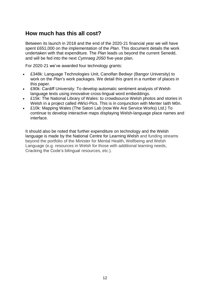## <span id="page-12-0"></span>**How much has this all cost?**

Between its launch in 2018 and the end of the 2020-21 financial year we will have spent £651,000 on the implementation of the *Plan*. This document details the work undertaken with that expenditure. The *Plan* leads us beyond the current Senedd, and will be fed into the next *Cymraeg 2050* five-year plan*.*

For 2020-21 we've awarded four technology grants:

- £348k: Language Technologies Unit, Canolfan Bedwyr (Bangor University) to work on the *Plan*'s work packages. We detail this grant in a number of places in this paper.
- £90k: Cardiff University: To develop automatic sentiment analysis of Welsh language texts using innovative cross-lingual word embeddings.
- £15k: The National Library of Wales: to crowdsource Welsh photos and stories in Welsh in a project called #Wici-Pics. This is in conjunction with Menter laith Môn.
- £10k: Mapping Wales (The Satori Lab (now We Are Service Works) Ltd.) To continue to develop interactive maps displaying Welsh-language place names and interface.

It should also be noted that further expenditure on technology and the Welsh language is made by the National Centre for Learning Welsh and funding streams beyond the portfolio of the Minister for Mental Health, Wellbeing and Welsh Language (e.g. resources in Welsh for those with additional learning needs, Cracking the Code's bilingual resources, etc.).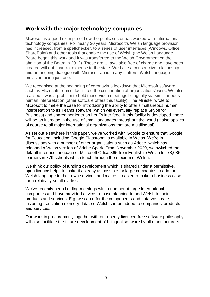#### <span id="page-13-0"></span>**Work with the major technology companies**

Microsoft is a good example of how the public sector has worked with international technology companies. For nearly 20 years, Microsoft's Welsh language provision has increased, from a spellchecker, to a series of user interfaces (Windows, Office, SharePoint) and other tools that enable the use of Welsh (the Welsh Language Board began this work and it was transferred to the Welsh Government on the abolition of the Board in 2012). These are all available free of charge and have been created without financial expense to the state. We have a constructive relationship and an ongoing dialogue with Microsoft about many matters, Welsh language provision being just one.

We recognised at the beginning of coronavirus lockdown that Microsoft software such as Microsoft Teams, facilitated the continuation of organisations' work. We also realised it was a problem to hold these video meetings bilingually via simultaneous human interpretation (other software offers this facility). The Minister wrote to Microsoft to make the case for introducing the ability to offer simultaneous human interpretation to its Teams software (which will eventually replace Skype for Business) and shared her letter on her Twitter feed. If this facility is developed, there will be an increase in the use of small languages throughout the world (it also applies of course to all major international organizations that are multilingual).

As set out elsewhere in this paper, we've worked with Google to ensure that Google for Education, including Google Classroom is available in Welsh. We're in discussions with a number of other organisations such as Adobe, which has released a Welsh version of Adobe Spark. From November 2020, we switched the default interface language of Microsoft Office 365 from English to Welsh for 78,086 learners in 379 schools which teach through the medium of Welsh.

We think our policy of funding development which is shared under a permissive, open licence helps to make it as easy as possible for large companies to add the Welsh language to their own services and makes it easier to make a business case for a relatively small market.

We've recently been holding meetings with a number of large international companies and have provided advice to those planning to add Welsh to their products and services. E.g. we can offer the components and data we create, including translation memory data, so Welsh can be added to companies' products and services.

Our work in procurement, together with our openly-licenced free software philosophy will also facilitate the future development of bilingual software by all manufacturers.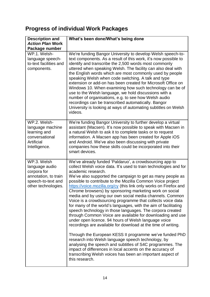# <span id="page-14-0"></span>**Progress of individual Work Packages**

| <b>Description and</b><br><b>Action Plan Work</b>                                                                 | What's been done/What's being done                                                                                                                                                                                                                                                                                                                                                                                                                                                                                                                                                                                                                                                                                                                                                                                                                                                                                                                                                                                                                                                                                                                                                         |
|-------------------------------------------------------------------------------------------------------------------|--------------------------------------------------------------------------------------------------------------------------------------------------------------------------------------------------------------------------------------------------------------------------------------------------------------------------------------------------------------------------------------------------------------------------------------------------------------------------------------------------------------------------------------------------------------------------------------------------------------------------------------------------------------------------------------------------------------------------------------------------------------------------------------------------------------------------------------------------------------------------------------------------------------------------------------------------------------------------------------------------------------------------------------------------------------------------------------------------------------------------------------------------------------------------------------------|
| Package number                                                                                                    |                                                                                                                                                                                                                                                                                                                                                                                                                                                                                                                                                                                                                                                                                                                                                                                                                                                                                                                                                                                                                                                                                                                                                                                            |
| WP.1. Welsh-<br>language speech-<br>to-text facilities and<br>components.                                         | We're funding Bangor University to develop Welsh speech-to-<br>text components. As a result of this work, it's now possible to<br>identify and transcribe the 2,500 words most commonly<br>uttered when speaking Welsh. The facility can also deal with<br>the English words which are most commonly used by people<br>speaking Welsh when code switching. A talk and type<br>extension or add-on has been created for Microsoft Office on<br>Windows 10. When examining how such technology can be of<br>use to the Welsh language, we hold discussions with a<br>number of organisations, e.g. to see how Welsh audio<br>recordings can be transcribed automatically. Bangor<br>University is looking at ways of automating subtitles on Welsh<br>videos.                                                                                                                                                                                                                                                                                                                                                                                                                                |
| WP.2. Welsh-<br>language machine<br>learning and<br>conversational<br>Artificial<br>Intelligence.                 | We're funding Bangor University to further develop a virtual<br>assistant (Macsen). It's now possible to speak with Macsen in<br>a natural Welsh to ask it to complete tasks or to request<br>information. A Macsen app has been created for Apple iOS<br>and Android. We've also been discussing with private<br>companies how these skills could be incorporated into their<br>smart devices.                                                                                                                                                                                                                                                                                                                                                                                                                                                                                                                                                                                                                                                                                                                                                                                            |
| WP.3. Welsh<br>language audio<br>corpora for<br>annotation, to train<br>speech-to-text and<br>other technologies. | We've already funded 'Paldaruo', a crowdsourcing app to<br>collect Welsh voice data. It's used to train technologies and for<br>academic research.<br>We've also supported the campaign to get as many people as<br>possible to contribute to the Mozilla Common Voice project<br>https://voice.mozilla.org/cy (this link only works on Firefox and<br>Chrome browsers) by sponsoring marketing work on social<br>media and by using our own social media channels. Common<br>Voice is a crowdsourcing programme that collects voice data<br>for many of the world's languages, with the aim of facilitating<br>speech technology in those languages. The corpora created<br>through Common Voice are available for downloading and use<br>under open licence. 94 hours of Welsh language voice<br>recordings are available for download at the time of writing.<br>Through the European KESS II programme we've funded PhD<br>research into Welsh language speech technology, by<br>analysing the speech and subtitles of S4C programmes. The<br>impact of differences in local accents on the accuracy of<br>transcribing Welsh voices has been an important aspect of<br>this research. |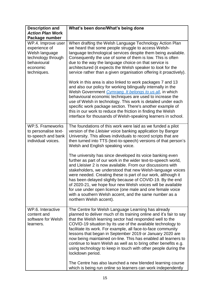| <b>Description and</b><br><b>Action Plan Work</b>                                                                                       | What's been done/What's being done                                                                                                                                                                                                                                                                                                                                                                                                                                                                                                                                                                                                                                                                                                                                                                                                                                                                                                                               |
|-----------------------------------------------------------------------------------------------------------------------------------------|------------------------------------------------------------------------------------------------------------------------------------------------------------------------------------------------------------------------------------------------------------------------------------------------------------------------------------------------------------------------------------------------------------------------------------------------------------------------------------------------------------------------------------------------------------------------------------------------------------------------------------------------------------------------------------------------------------------------------------------------------------------------------------------------------------------------------------------------------------------------------------------------------------------------------------------------------------------|
| Package number<br>WP.4. Improve user<br>experience of<br>Welsh language<br>technology through<br>behavioural<br>economic<br>techniques. | When drafting the Welsh Language Technology Action Plan<br>we heard that some people struggle to access Welsh-<br>language technological services despite them being available.<br>Consequently the use of some of them is low. This is often<br>due to the way the language choice on that service is<br>architectured (it expects the Welsh speaker to look for the<br>service rather than a given organisation offering it proactively).<br>Work in this area is also linked to work packages 7 and 13<br>and also our policy for working bilingually internally in the<br>Welsh Government Cymraeg. It belongs to us all, in which<br>behavioural economic techniques are used to increase the<br>use of Welsh in technology. This work is detailed under each<br>specific work package section. There's another example of<br>this in our work to reduce the friction in finding the Welsh<br>interface for thousands of Welsh-speaking learners in school. |
| WP.5. Frameworks<br>to personalise text-<br>to-speech and bank<br>individual voices.                                                    | The foundations of this work were laid as we funded a pilot<br>version of the Lleisiwr voice banking application by Bangor<br>University. This allows individuals to record scripts that are<br>then turned into TTS (text-to-speech) versions of that person's<br>Welsh and English speaking voice.<br>The university has since developed its voice banking even<br>further as part of our work in the wider text-to-speech world,<br>and Lleisiwr 2 is now available. From our discussions with<br>stakeholders, we understood that new Welsh-language voices<br>were needed. Creating these is part of our work, although it<br>has been delayed slightly because of COVID-19. By the end<br>of 2020-21, we hope four new Welsh voices will be available<br>for use under open licence (one male and one female voice<br>with a southern Welsh accent, and the same number as a<br>northern Welsh accent).                                                    |
| WP.6. Interactive<br>content and<br>software for Welsh<br>learners.                                                                     | The Centre for Welsh Language Learning has already<br>planned to deliver much of its training online and it's fair to say<br>that the Welsh learning sector had responded well to the<br>COVID-19 situation by its use of the available technology to<br>facilitate its work. For example, all face-to-face community<br>lessons that began in September 2019 or January 2020 are<br>now being maintained on-line. This has enabled all learners to<br>continue to learn Welsh as well as to bring other benefits e.g.<br>using technology to keep in touch with other people during the<br>lockdown period.<br>The Centre has also launched a new blended learning course<br>which is being run online so learners can work independently                                                                                                                                                                                                                       |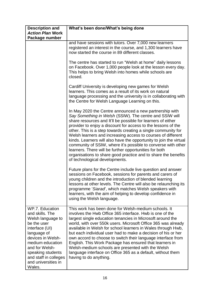| <b>Description and</b><br><b>Action Plan Work</b>                                                                                                                                                                                                 | What's been done/What's being done                                                                                                                                                                                                                                                                                                                                                                                                                                                                                                                                                                                                                                                        |
|---------------------------------------------------------------------------------------------------------------------------------------------------------------------------------------------------------------------------------------------------|-------------------------------------------------------------------------------------------------------------------------------------------------------------------------------------------------------------------------------------------------------------------------------------------------------------------------------------------------------------------------------------------------------------------------------------------------------------------------------------------------------------------------------------------------------------------------------------------------------------------------------------------------------------------------------------------|
| Package number                                                                                                                                                                                                                                    |                                                                                                                                                                                                                                                                                                                                                                                                                                                                                                                                                                                                                                                                                           |
|                                                                                                                                                                                                                                                   | and have sessions with tutors. Over 7,000 new learners<br>registered an interest in the course, and 1,300 learners have<br>now started the course in 89 different classes.                                                                                                                                                                                                                                                                                                                                                                                                                                                                                                                |
|                                                                                                                                                                                                                                                   | The centre has started to run "Welsh at home" daily lessons<br>on Facebook. Over 1,000 people look at the lesson every day.<br>This helps to bring Welsh into homes while schools are<br>closed.                                                                                                                                                                                                                                                                                                                                                                                                                                                                                          |
|                                                                                                                                                                                                                                                   | Cardiff University is developing new games for Welsh<br>learners. This comes as a result of its work on natural<br>language processing and the university is in collaborating with<br>the Centre for Welsh Language Learning on this.                                                                                                                                                                                                                                                                                                                                                                                                                                                     |
|                                                                                                                                                                                                                                                   | In May 2020 the Centre announced a new partnership with<br>Say Something in Welsh (SSIW). The centre and SSIW will<br>share resources and It'll be possible for learners of either<br>provider to enjoy a discount for access to the lessons of the<br>other. This is a step towards creating a single community for<br>Welsh learners and increasing access to courses of different<br>kinds. Learners will also have the opportunity to join the virtual<br>community of SSIW, where it's possible to converse with other<br>learners. There will be further opportunities for both<br>organisations to share good practice and to share the benefits<br>of technological developments. |
|                                                                                                                                                                                                                                                   | Future plans for the Centre include live question and answer<br>sessions on Facebook, sessions for parents and carers of<br>young children and the introduction of blended learning<br>lessons at other levels. The Centre will also be relaunching its<br>programme 'Siarad', which matches Welsh speakers with<br>learners, with the aim of helping to develop confidence in<br>using the Welsh language.                                                                                                                                                                                                                                                                               |
| WP.7. Education<br>and skills. The<br>Welsh language to<br>be the user<br>interface (UI)<br>language of<br>devices in Welsh-<br>medium education<br>and for Welsh-<br>speaking students<br>and staff in colleges<br>and universities in<br>Wales. | This work has been done for Welsh-medium schools. It<br>involves the Hwb Office 365 interface. Hwb is one of the<br>largest single education tenancies in Microsoft around the<br>world, with over 550k users. Microsoft Office 365 was already<br>available in Welsh for school learners in Wales through Hwb,<br>but each individual user had to make a decision of his or her<br>own accord to choose to switch their language interface from<br>English. This Work Package has ensured that learners in<br>Welsh-medium schools are presented with the Welsh<br>language interface on Office 365 as a default, without them<br>having to do anything.                                 |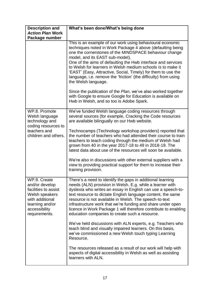| <b>Description and</b>                                                                                                                           | What's been done/What's being done                                                                                                                                                                                                                                                                                                                                                                                                                                                                                                                                                                                                                                                         |
|--------------------------------------------------------------------------------------------------------------------------------------------------|--------------------------------------------------------------------------------------------------------------------------------------------------------------------------------------------------------------------------------------------------------------------------------------------------------------------------------------------------------------------------------------------------------------------------------------------------------------------------------------------------------------------------------------------------------------------------------------------------------------------------------------------------------------------------------------------|
| <b>Action Plan Work</b><br>Package number                                                                                                        |                                                                                                                                                                                                                                                                                                                                                                                                                                                                                                                                                                                                                                                                                            |
|                                                                                                                                                  | This is an example of our work using behavioural economic<br>techniques noted in Work Package 4 above (defaulting being<br>one the cornerstones of the MINDSPACE behaviour change<br>model, and its EAST sub-model).<br>One of the aims of defaulting the Hwb interface and services<br>to Welsh for learners in Welsh medium schools is to make it<br>'EAST' (Easy, Attractive, Social, Timely) for them to use the<br>language, i.e. remove the 'friction' (the difficulty) from using<br>the Welsh language.<br>Since the publication of the Plan, we've also worked together<br>with Google to ensure Google for Education is available on<br>Hwb in Welsh, and so too is Adobe Spark. |
| WP.8. Promote<br>Welsh language<br>technology and                                                                                                | We've funded Welsh language coding resources through<br>several sources (for example, Cracking the Code resources<br>are available bilingually on our Hwb website.                                                                                                                                                                                                                                                                                                                                                                                                                                                                                                                         |
| coding resources to<br>teachers and<br>children and others.                                                                                      | Technocamps (Technology workshop providers) reported that<br>the number of teachers who had attended their course to train<br>teachers to teach coding through the medium of Welsh had<br>grown from 40 in the year 2017-18 to 49 in 2018-19. The<br>latest data about use of the resources will soon be available.<br>We're also in discussions with other external suppliers with a<br>view to providing practical support for them to increase their<br>training provision.                                                                                                                                                                                                             |
| WP.9. Create<br>and/or develop<br>facilities to assist<br>Welsh speakers<br>with additional<br>learning and/or<br>accessibility<br>requirements. | There's a need to identify the gaps in additional learning<br>needs (ALN) provision in Welsh. E.g. while a learner with<br>dyslexia who writes an essay in English can use a speech-to-<br>text resource to dictate English language content, the same<br>resource is not available in Welsh. The speech-to-text<br>infrastructure work that we're funding and share under open<br>licence in Work Package 1 will therefore contribute to enabling<br>education companies to create such a resource.                                                                                                                                                                                       |
|                                                                                                                                                  | We've held discussions with ALN experts, e.g. Teachers who<br>teach blind and visually impaired learners. On this basis,<br>we've commissioned a new Welsh touch typing Learning<br>Resource.                                                                                                                                                                                                                                                                                                                                                                                                                                                                                              |
|                                                                                                                                                  | The resources released as a result of our work will help with<br>aspects of digital accessibility in Welsh as well as assisting<br>learners with ALN.                                                                                                                                                                                                                                                                                                                                                                                                                                                                                                                                      |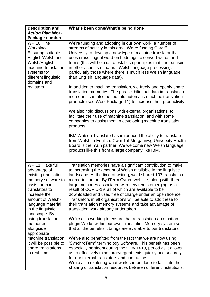| <b>Description and</b>                                                                                                                                                                                          | What's been done/What's being done                                                                                                                                                                                                                                                                                                                                                                                                                                                                                                                                                                              |
|-----------------------------------------------------------------------------------------------------------------------------------------------------------------------------------------------------------------|-----------------------------------------------------------------------------------------------------------------------------------------------------------------------------------------------------------------------------------------------------------------------------------------------------------------------------------------------------------------------------------------------------------------------------------------------------------------------------------------------------------------------------------------------------------------------------------------------------------------|
| <b>Action Plan Work</b>                                                                                                                                                                                         |                                                                                                                                                                                                                                                                                                                                                                                                                                                                                                                                                                                                                 |
| Package number                                                                                                                                                                                                  |                                                                                                                                                                                                                                                                                                                                                                                                                                                                                                                                                                                                                 |
| <b>WP.10. The</b><br>Workplace.<br><b>Ensuring suitable</b><br>English/Welsh and<br>Welsh/English<br>machine translation<br>systems for<br>different linguistic<br>domains and<br>registers.                    | We're funding and adopting in our own work, a number of<br>streams of activity in this area. We're funding Cardiff<br>University to develop a new type of machine translator that<br>uses cross-lingual word embeddings to convert words and<br>terms (this will help us to establish principles that can be used<br>in other aspects of natural Welsh language processing,<br>particularly those where there is much less Welsh language<br>than English language data).<br>In addition to machine translation, we freely and openly share<br>translation memories. The parallel bilingual data in translation |
|                                                                                                                                                                                                                 | memories can also be fed into automatic machine translation<br>products (see Work Package 11) to increase their productivity.                                                                                                                                                                                                                                                                                                                                                                                                                                                                                   |
|                                                                                                                                                                                                                 | We also hold discussions with external organisations, to<br>facilitate their use of machine translation, and with some<br>companies to assist them in developing machine translation<br>products.                                                                                                                                                                                                                                                                                                                                                                                                               |
|                                                                                                                                                                                                                 | IBM Watson Translate has introduced the ability to translate<br>from Welsh to English. Cwm Taf Morgannwg University Health<br>Board is the main partner. We welcome new Welsh language<br>products like this from a large company like IBM.                                                                                                                                                                                                                                                                                                                                                                     |
| WP.11. Take full<br>advantage of<br>existing translation<br>memory software to<br>assist human<br>translators to<br>increase the<br>amount of Welsh-<br>language material<br>in the linguistic<br>landscape. By | Translation memories have a significant contribution to make<br>to increasing the amount of Welsh available in the linguistic<br>landscape. At the time of writing, we'd shared 107 translation<br>memories on our BydTerm Cymru website, along with three<br>large memories associated with new terms emerging as a<br>result of COVID-19, all of which are available to be<br>downloaded and used free of charge under an open licence.<br>Translators in all organisations will be able to add these to<br>their translation memory systems and take advantage of<br>translation work already undertaken.    |
| using translation<br>memories<br>alongside<br>appropriate                                                                                                                                                       | We're also working to ensure that a translation automation<br>plugin Works within our own Translation Memory system so<br>that all the benefits it brings are available to our translators.                                                                                                                                                                                                                                                                                                                                                                                                                     |
| machine translation<br>it will be possible to<br>share translations<br>in real time.                                                                                                                            | We've also benefitted from the fact that we are now using<br>'SynchroTerm' terminology Software. This benefit has been<br>especially pertinent during the COVID-19, period as it allows<br>us to effectively mine large/urgent texts quickly and securely<br>for our internal translators and contractors.<br>We're also exploring what work can be done to facilitate the<br>sharing of translation resources between different institutions,                                                                                                                                                                  |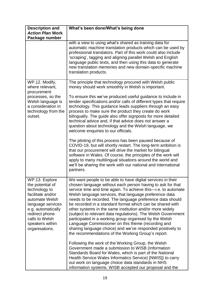| <b>Description and</b><br><b>Action Plan Work</b>                                                                                                                                                              | What's been done/What's being done                                                                                                                                                                                                                                                                                                                                                                                                                                                                                                                                                                                                                                                                                                                                                                                                                                                                                                                                                                                                                                                                  |
|----------------------------------------------------------------------------------------------------------------------------------------------------------------------------------------------------------------|-----------------------------------------------------------------------------------------------------------------------------------------------------------------------------------------------------------------------------------------------------------------------------------------------------------------------------------------------------------------------------------------------------------------------------------------------------------------------------------------------------------------------------------------------------------------------------------------------------------------------------------------------------------------------------------------------------------------------------------------------------------------------------------------------------------------------------------------------------------------------------------------------------------------------------------------------------------------------------------------------------------------------------------------------------------------------------------------------------|
| Package number                                                                                                                                                                                                 |                                                                                                                                                                                                                                                                                                                                                                                                                                                                                                                                                                                                                                                                                                                                                                                                                                                                                                                                                                                                                                                                                                     |
|                                                                                                                                                                                                                | with a view to using what's shared as training data for<br>automatic machine translation products which can be used by<br>professional translators. Part of this work could also include<br>'scraping', tagging and aligning parallel Welsh and English<br>language public texts, and then using this data to generate<br>new translation memories and new domain-specific machine<br>translation products.                                                                                                                                                                                                                                                                                                                                                                                                                                                                                                                                                                                                                                                                                         |
| WP.12. Modify,<br>where relevant,<br>procurement                                                                                                                                                               | The principle that technology procured with Welsh public<br>money should work smoothly in Welsh is important.                                                                                                                                                                                                                                                                                                                                                                                                                                                                                                                                                                                                                                                                                                                                                                                                                                                                                                                                                                                       |
| processes, so the<br>Welsh language is<br>a consideration in<br>technology from the<br>outset.                                                                                                                 | To ensure this we've produced useful guidance to include in<br>tender specifications and/or calls of different types that require<br>technology. This guidance leads suppliers through an easy<br>process to make sure the product they create do work<br>bilingually. The guide also offer signposts for more detailed<br>technical advice and, if that advice does not answer a<br>question about technology and the Welsh language, we<br>welcome enquiries to our officials.<br>The piloting of this process has been paused because of<br>COVID-19, but will shortly restart. The long-term ambition is<br>that our procurement will drive the market for bilingual<br>software in Wales. Of course, the principles of the work will<br>apply to many multilingual situations around the world and<br>we'll be sharing the work with our national and international<br>partners.                                                                                                                                                                                                               |
| WP.13. Explore<br>the potential of<br>technology to<br>facilitate and/or<br>automate Welsh<br>language services<br>e.g. automatically<br>redirect phone<br>calls to Welsh<br>speakers within<br>organisations. | We want people to be able to have digital services in their<br>chosen language without each person having to ask for that<br>service time and time again. To achieve this—i.e. to automate<br>Welsh language services, that language preference data<br>needs to be recorded. The language preference data should<br>be recorded in a standard format which can be shared with<br>other systems in the same institution and/or more widely<br>(subject to relevant data regulations). The Welsh Government<br>participated in a working group organised by the Welsh<br>Language Commissioner on this theme (recording and<br>sharing language choice) and we've responded positively to<br>the recommendations of the Working Group's report.<br>Following the work of the Working Group, the Welsh<br>Government made a submission to WISB (Information<br>Standards Board for Wales, which is part of the National<br>Health Service Wales Informatics Service) [NWIS]) to carry<br>out work on language choice data standards in NHS<br>information systems. WISB accepted our proposal and the |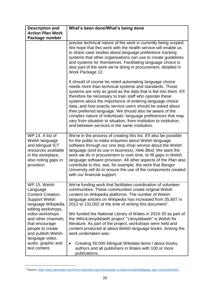| <b>Description and</b>                                                                                                                   | What's been done/What's being done                                                                                                                                                                                                                                                                                                                                                                                                                                                                                                                                                                                            |
|------------------------------------------------------------------------------------------------------------------------------------------|-------------------------------------------------------------------------------------------------------------------------------------------------------------------------------------------------------------------------------------------------------------------------------------------------------------------------------------------------------------------------------------------------------------------------------------------------------------------------------------------------------------------------------------------------------------------------------------------------------------------------------|
| <b>Action Plan Work</b><br>Package number                                                                                                |                                                                                                                                                                                                                                                                                                                                                                                                                                                                                                                                                                                                                               |
|                                                                                                                                          | precise technical nature of the work is currently being scoped.<br>We hope that this work with the health service will enable us<br>to share case studies about language preference tracking<br>systems that other organisations can use to create guidelines<br>and systems for themselves. Facilitating language choice is<br>also part of the work we're doing in procurement, detailed in<br>Work Package 12.                                                                                                                                                                                                             |
|                                                                                                                                          | It should of course be noted automating language choice<br>needs more than technical systems and standards. Those<br>systems are only as good as the data that is fed into them. It'll<br>therefore be necessary to train staff who operate these<br>systems about the importance of entering language choice<br>data, and how exactly service users should be asked about<br>their preferred language. We should also be aware of the<br>complex nature of individuals' language preferences that may<br>vary from situation to situation, from institution to institution,<br>and between services in the same institution. |
| WP.14. A list of<br>Welsh language<br>and bilingual ICT<br>resources available<br>in the workplace,<br>also noting gaps in<br>provision. | We're in the process of creating this list. It'll also be possible<br>for the public to make enquiries about Welsh language<br>software through our one stop shop service about the Welsh<br>language (and its use in business), Helo Blod. We want the<br>work we do in procurement to over time, to fill gaps in Welsh<br>language software provision. All other aspects of the Plan also<br>contribute to this: see, for example, the work that Bangor<br>University will do to ensure the use of the components created<br>with our financial support.                                                                    |
| WP.15. Welsh<br>Language<br><b>Content Creation.</b><br><b>Support Welsh</b><br>language Wikipedia<br>editing workshops,                 | We're funding work that facilitates coordination of volunteer<br>communities. These communities create original Welsh<br>content on Wikipedia platforms. The number of Welsh-<br>language articles on Wikipedia has increased from 35,807 in<br>2012 to 131,002 at the time of writing this document <sup>1</sup> .                                                                                                                                                                                                                                                                                                           |
| video workshops<br>and other channels<br>that encourage<br>people to create<br>and publish Welsh-<br>language video,                     | We funded the National Library of Wales in 2019-20 as part of<br>the #WiciLlenyddiaeth project' "Llenyddiaeth" is Welsh for<br>literature. As part of the project, workshops were held and<br>content produced al about Welsh language books. Among the<br>work undertaken was:                                                                                                                                                                                                                                                                                                                                               |
| audio, graphic and<br>text content.                                                                                                      | Creating 50,000 bilingual Wikidata items I about books,<br>$\bullet$<br>authors and all publishers in Wales with 100 or more<br>publications.                                                                                                                                                                                                                                                                                                                                                                                                                                                                                 |

<sup>1</sup> Source: [https://stats.wikimedia.org/v2/#/cy.wikipedia.org/content/pages-to-date/normal|line|all|page\\_type~content|monthly](https://stats.wikimedia.org/v2/#/cy.wikipedia.org/content/pages-to-date/normal|line|all|page_type~content|monthly)

-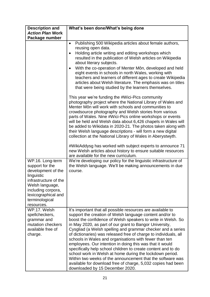| <b>Description and</b>                                                                                                                                                                           | What's been done/What's being done                                                                                                                                                                                                                                                                                                                                                                                                                                                                                                                                                                                                                                                                                                                                                                                                                                                                                                                                                                                                                                                                                                                                                                            |
|--------------------------------------------------------------------------------------------------------------------------------------------------------------------------------------------------|---------------------------------------------------------------------------------------------------------------------------------------------------------------------------------------------------------------------------------------------------------------------------------------------------------------------------------------------------------------------------------------------------------------------------------------------------------------------------------------------------------------------------------------------------------------------------------------------------------------------------------------------------------------------------------------------------------------------------------------------------------------------------------------------------------------------------------------------------------------------------------------------------------------------------------------------------------------------------------------------------------------------------------------------------------------------------------------------------------------------------------------------------------------------------------------------------------------|
| <b>Action Plan Work</b>                                                                                                                                                                          |                                                                                                                                                                                                                                                                                                                                                                                                                                                                                                                                                                                                                                                                                                                                                                                                                                                                                                                                                                                                                                                                                                                                                                                                               |
|                                                                                                                                                                                                  |                                                                                                                                                                                                                                                                                                                                                                                                                                                                                                                                                                                                                                                                                                                                                                                                                                                                                                                                                                                                                                                                                                                                                                                                               |
| Package number                                                                                                                                                                                   | Publishing 500 Wikipedia articles about female authors,<br>$\bullet$<br>reusing open data.<br>Holding article writing and editing workshops which<br>$\bullet$<br>resulted in the publication of Welsh articles on Wikipedia<br>about literary subjects.<br>With the co-operation of Menter Môn, developed and held<br>$\bullet$<br>eight events in schools in north Wales, working with<br>teachers and learners of different ages to create Wikipedia<br>articles about Welsh literature. The emphasis was on titles<br>that were being studied by the learners themselves.<br>This year we're funding the #Wici-Pics community<br>photography project where the National Library of Wales and<br>Menter Môn will work with schools and communities to<br>crowdsource photography and Welsh stories from various<br>parts of Wales. Nine #Wici-Pics online workshops or events<br>will be held and Welsh data about 6,426 chapels in Wales will<br>be added to Wikidata in 2020-21. The photos taken along with<br>their Welsh language descriptions - will form a new digital<br>collection at the National Library of Wales in Aberystwyth.<br>#WikiAddysg has worked with subject experts to announce 71 |
|                                                                                                                                                                                                  | new Welsh articles about history to ensure suitable resources                                                                                                                                                                                                                                                                                                                                                                                                                                                                                                                                                                                                                                                                                                                                                                                                                                                                                                                                                                                                                                                                                                                                                 |
| WP.16. Long-term<br>support for the<br>development of the<br>linguistic<br>infrastructure of the<br>Welsh language,<br>including corpora,<br>lexicographical and<br>terminological<br>resources. | are available for the new curriculum.<br>We're developing our policy for the linguistic infrastructure of<br>the Welsh language. We'll be making announcements in due<br>course.                                                                                                                                                                                                                                                                                                                                                                                                                                                                                                                                                                                                                                                                                                                                                                                                                                                                                                                                                                                                                              |
| WP.17. Welsh<br>spellcheckers,<br>grammar and<br>mutation checkers<br>available free of<br>charge.                                                                                               | It's important that all possible resources are available to<br>support the creation of Welsh language content and/or to<br>boost the confidence of Welsh speakers to write in Welsh. So<br>in May 2020, as part of our grant to Bangor University,<br>Cysgliad (a Welsh spelling and grammar checker and a series<br>of dictionaries) was released free of charge to individuals, all<br>schools in Wales and organisations with fewer than ten<br>employees. Our intention in doing this was that it would<br>specifically help school children to create content and to do<br>school work in Welsh at home during the lockdown period.<br>Within two weeks of the announcement that the software was<br>available for download free of charge, 5,032 copies had been<br>downloaded by 15 December 2020.                                                                                                                                                                                                                                                                                                                                                                                                     |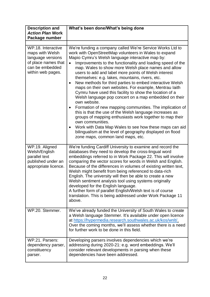| <b>Description and</b><br><b>Action Plan Work</b><br>Package number                                                       | What's been done/What's being done                                                                                                                                                                                                                                                                                                                                                                                                                                                                                                                                                                                                                                                                                                                                                                                                                                                                |
|---------------------------------------------------------------------------------------------------------------------------|---------------------------------------------------------------------------------------------------------------------------------------------------------------------------------------------------------------------------------------------------------------------------------------------------------------------------------------------------------------------------------------------------------------------------------------------------------------------------------------------------------------------------------------------------------------------------------------------------------------------------------------------------------------------------------------------------------------------------------------------------------------------------------------------------------------------------------------------------------------------------------------------------|
| WP.18. Interactive<br>maps with Welsh<br>language versions<br>of place names that<br>can be embedded<br>within web pages. | We're funding a company called We're Service Works Ltd to<br>work with OpenStreetMap volunteers in Wales to expand<br>Mapio Cymru's Welsh language interactive map by:<br>Improvements to the functionality and loading speed of the<br>$\bullet$<br>map. Wales to show more Welsh place names and allow<br>users to add and label more points of Welsh interest<br>themselves: e.g. lakes, mountains, rivers, etc.<br>New methods for third parties to embed interactive Welsh<br>$\bullet$<br>maps on their own websites. For example, Mentrau laith<br>Cymru have used this facility to show the location of a<br>Welsh language pop concert on a map embedded on their<br>own website.<br>Formation of new mapping communities. The implication of<br>this is that the use of the Welsh language increases as<br>groups of mapping enthusiasts work together to map their<br>own communities. |
|                                                                                                                           | Work with Data Map Wales to see how these maps can aid<br>$\bullet$<br>bilingualism at the level of geography displayed on flood<br>zone maps, common land maps, etc.                                                                                                                                                                                                                                                                                                                                                                                                                                                                                                                                                                                                                                                                                                                             |
| WP.19. Aligned<br>Welsh/English<br>parallel text<br>published under an<br>appropriate licence.                            | We're funding Cardiff University to examine and record the<br>databases they need to develop the cross-lingual word<br>embeddings referred to in Work Package 22. This will involve<br>comparing the vector scores for words in Welsh and English.<br>Because of the differences in volumes of existing written text,<br>Welsh might benefit from being referenced to data-rich<br>English. The university will then be able to create a new<br>Welsh sentiment analysis tool using systems originally<br>developed for the English language.<br>A further form of parallel English/Welsh text is of course<br>translation. This is being addressed under Work Package 11<br>above.                                                                                                                                                                                                               |
| WP.20. Stemmer.                                                                                                           | We've already funded the University of South Wales to create<br>a Welsh language Stemmer. It's available under open licence<br>at https://hypermedia.research.southwales.ac.uk/kos/wnlt/.<br>Over the coming months, we'll assess whether there is a need<br>for further work to be done in this field.                                                                                                                                                                                                                                                                                                                                                                                                                                                                                                                                                                                           |
| WP.21. Parsers:<br>dependency parser,<br>constituency<br>parser.                                                          | Developing parsers involves dependencies which we're<br>addressing during 2020-21: e.g. word embeddings. We'll<br>consider relevant developments in parsing when these<br>dependencies have been addressed.                                                                                                                                                                                                                                                                                                                                                                                                                                                                                                                                                                                                                                                                                       |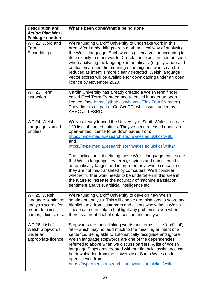| <b>Description and</b><br><b>Action Plan Work</b>                                                  | What's been done/What's being done                                                                                                                                                                                                                                                                                                                                                                                                                                                                                                                                                                                                                                                                                                            |
|----------------------------------------------------------------------------------------------------|-----------------------------------------------------------------------------------------------------------------------------------------------------------------------------------------------------------------------------------------------------------------------------------------------------------------------------------------------------------------------------------------------------------------------------------------------------------------------------------------------------------------------------------------------------------------------------------------------------------------------------------------------------------------------------------------------------------------------------------------------|
| Package number                                                                                     |                                                                                                                                                                                                                                                                                                                                                                                                                                                                                                                                                                                                                                                                                                                                               |
| WP.22. Word and<br>Term<br>Embeddings                                                              | We're funding Cardiff University to undertake work in this<br>area. Word embeddings are a mathematical way of analysing<br>the Welsh language. Each word is given a vector according to<br>its proximity to other words. Co-relationships can then be seen<br>when analysing the language automatically (e.g. by a bot) and<br>confusion around the meaning of ambiguous words can be<br>reduced as intent is more clearly detected. Welsh language<br>vector scores will be available for downloading under an open<br>licence by November 2020.                                                                                                                                                                                             |
| WP.23. Term<br>extraction.                                                                         | Cardiff University has already created a Welsh term finder<br>called Flexi Term Cymraeg and released it under an open<br>licence. (see https://github.com/ispasic/FlexiTermCymraeg).<br>They did this as part of CorCenCC, which was funded by<br>AHRC and ESRC.                                                                                                                                                                                                                                                                                                                                                                                                                                                                              |
| WP.24. Welsh<br>Language Named<br><b>Entities</b>                                                  | We've already funded the University of South Wales to create<br>129 lists of named entities. They've been released under an<br>open-ended licence to be downloaded from:<br>https://hypermedia.research.southwales.ac.uk/kos/wnlt/<br>and<br>https://hypermedia.research.southwales.ac.uk/kos/wnlt2/<br>The implications of defining these Welsh language entities are<br>that Welsh language key terms, sayings and names can be<br>automatically tagged and interpreted as a whole concept so<br>they are not mis-translated by computers. We'll consider<br>whether further work needs to be undertaken in this area in<br>the future to increase the accuracy of machine translation,<br>sentiment analysis, artificial intelligence etc. |
| WP.25. Welsh<br>language sentiment<br>analysis scores for<br>broad domains,<br>names, idioms, etc. | We're funding Cardiff University to develop new Welsh<br>sentiment analysis. This will enable organisations to score and<br>highlight text from customers and clients who write in Welsh.<br>These data can help to highlight any problems, even when<br>there is a great deal of data to scan and analyse.                                                                                                                                                                                                                                                                                                                                                                                                                                   |
| WP.26. List of<br><b>Welsh Stopwords</b><br>under an<br>appropriate licence.                       | Stopwords are those linking words and terms-like 'and', 'of',<br>'at'—which may not add much to the meaning or intent of a<br>sentence. Being able to automatically recognise and ignore<br>Welsh language stopwords are one of the dependencies<br>referred to above when we discuss parsers. A list of Welsh<br>language Stopwords created with our financial assistance can<br>be downloaded from the University of South Wales under<br>open licence from:<br>https://hypermedia.research.southwales.ac.uk/kos/wnlt/                                                                                                                                                                                                                      |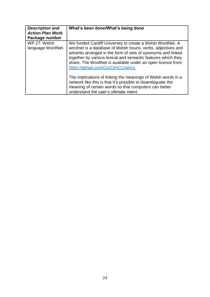| <b>Description and</b><br><b>Action Plan Work</b><br>Package number | What's been done/What's being done                                                                                                                                                                                                                                                                                                                          |
|---------------------------------------------------------------------|-------------------------------------------------------------------------------------------------------------------------------------------------------------------------------------------------------------------------------------------------------------------------------------------------------------------------------------------------------------|
| WP.27. Welsh<br>language WordNet.                                   | We funded Cardiff University to create a Welsh WordNet. A<br>wordnet is a database of Welsh nouns, verbs, adjectives and<br>adverbs arranged in the form of sets of synonyms and linked<br>together by various lexical and semantic features which they<br>share. The WordNet is available under an open licence from:<br>https://github.com/CorCenCC/wncy. |
|                                                                     | The implications of linking the meanings of Welsh words in a<br>network like this is that it's possible to disambiguate the<br>meaning of certain words so that computers can better<br>understand the user's ultimate intent.                                                                                                                              |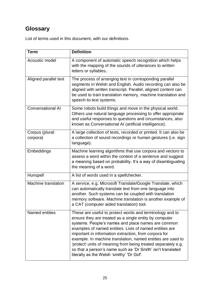## <span id="page-25-0"></span>**Glossary**

List of terms used in this document, with our definitions.

| <b>Term</b>                 | <b>Definition</b>                                                                                                                                                                                                                                                                                                                                                                                                                                                                                                                        |
|-----------------------------|------------------------------------------------------------------------------------------------------------------------------------------------------------------------------------------------------------------------------------------------------------------------------------------------------------------------------------------------------------------------------------------------------------------------------------------------------------------------------------------------------------------------------------------|
| Acoustic model              | A component of automatic speech recognition which helps<br>with the mapping of the sounds of utterances to written<br>letters or syllables                                                                                                                                                                                                                                                                                                                                                                                               |
| Aligned parallel text       | The process of arranging text in corresponding parallel<br>segments in Welsh and English. Audio recording can also be<br>aligned with written transcript. Parallel, aligned content can<br>be used to train translation memory, machine translation and<br>speech-to-text systems.                                                                                                                                                                                                                                                       |
| <b>Conversational AI</b>    | Some robots build things and move in the physical world.<br>Others use natural language processing to offer appropriate<br>and useful responses to questions and circumstances, also<br>known as Conversational AI (artificial intelligence).                                                                                                                                                                                                                                                                                            |
| Corpus (plural:<br>corpora) | A large collection of texts, recorded or printed. It can also be<br>a collection of sound recordings or human gestures (i.e. sign<br>language).                                                                                                                                                                                                                                                                                                                                                                                          |
| Embeddings                  | Machine learning algorithms that use corpora and vectors to<br>assess a word within the context of a sentence and suggest<br>a meaning based on probability. It's a way of disambiguating<br>the meaning of a word.                                                                                                                                                                                                                                                                                                                      |
| Hunspell                    | A list of words used in a spellchecker.                                                                                                                                                                                                                                                                                                                                                                                                                                                                                                  |
| Machine translation         | A service, e.g. Microsoft Translate/Google Translate, which<br>can automatically translate text from one language into<br>another. Such systems can be coupled with translation<br>memory software. Machine translation is another example of<br>a CAT (computer aided translation) tool.                                                                                                                                                                                                                                                |
| Named entities              | These are useful to protect words and terminology and to<br>ensure they are treated as a single entity by computer<br>systems. People's names and place names are common<br>examples of named entities. Lists of named entities are<br>important in information extraction, from corpora for<br>example. In machine translation, named entities are used to<br>'protect' units of meaning from being treated separately e.g.<br>so that a person's name such as 'Dr Smith' isn't translated<br>literally as the Welsh 'smithy' 'Dr Gof'. |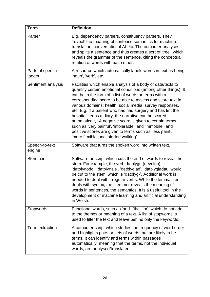| <b>Term</b>               | <b>Definition</b>                                                                                                                                                                                                                                                                                                                                                                                                                                                                                                                                                                                                                                                         |
|---------------------------|---------------------------------------------------------------------------------------------------------------------------------------------------------------------------------------------------------------------------------------------------------------------------------------------------------------------------------------------------------------------------------------------------------------------------------------------------------------------------------------------------------------------------------------------------------------------------------------------------------------------------------------------------------------------------|
| Parser                    | E.g. dependency parsers, constituency parsers. They<br>'reveal' the meaning of sentence semantics for machine<br>translation, conversational AI etc. The computer analyses<br>and splits a sentence and thus creates a sort of 'tree', which<br>reveals the grammar of the sentence, citing the conceptual<br>relation of words with each other.                                                                                                                                                                                                                                                                                                                          |
| Parts of speech<br>tagger | A resource which automatically labels words in text as being<br>'noun', 'verb', etc.                                                                                                                                                                                                                                                                                                                                                                                                                                                                                                                                                                                      |
| Sentiment analysis        | Facilities which enable analysis of a body of data/texts to<br>quantify certain emotional conditions (among other things). It<br>can be in the form of a list of words or terms with a<br>corresponding score to be able to assess and score text in<br>various domains: health, social media, survey responses,<br>etc. E.g. If a patient who has had surgery and has left the<br>hospital keeps a diary, the narrative can be scored<br>automatically. A negative score is given to certain terms<br>such as 'very painful', 'intolerable ' and 'immobile'; and<br>positive scores are given to terms such as 'less painful',<br>'more flexible' and 'started walking'. |
| Speech-to-text<br>engine  | Software that turns the spoken word into written text.                                                                                                                                                                                                                                                                                                                                                                                                                                                                                                                                                                                                                    |
| <b>Stemmer</b>            | Software or script which cuts the end of words to reveal the<br>stem. For example, the verb datblygu (develop):<br>'datblygodd', 'datblygais', 'datblygiad', 'datblygiadau' would<br>be cut to the stem, which is 'datblyg-'. Additional work is<br>needed to deal with irregular verbs. While the lemmatizer<br>deals with syntax, the stemmer reveals the meaning of<br>words in sentences, the semantics. It is a useful tool in the<br>development of machine learning and artificial understanding<br>in Welsh.                                                                                                                                                      |
| Stopwords                 | Functional words, such as 'and', 'the', 'or', which do not add<br>to the themes or meaning of a text. A list of stopwords is<br>used to filter the text and leave behind only the keywords.                                                                                                                                                                                                                                                                                                                                                                                                                                                                               |
| Term extraction           | A computer script which studies the frequency of word order<br>and highlights pairs or sets of words that are likely to be<br>terms. It can identify and terms within passages<br>automatically, meaning that the terms, not the individual<br>words, are analysed/translated.                                                                                                                                                                                                                                                                                                                                                                                            |